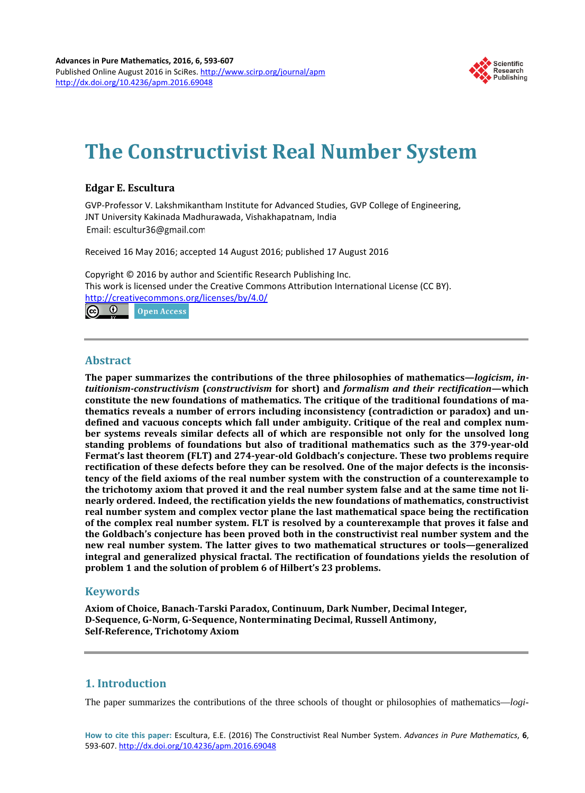

# **The Constructivist Real Number System**

# **Edgar E. Escultura**

GVP-Professor V. Lakshmikantham Institute for Advanced Studies, GVP College of Engineering, JNT University Kakinada Madhurawada, Vishakhapatnam, India Email: escultur36@gmail.com

Received 16 May 2016; accepted 14 August 2016; published 17 August 2016

Copyright © 2016 by author and Scientific Research Publishing Inc. This work is licensed under the Creative Commons Attribution International License (CC BY). <http://creativecommons.org/licenses/by/4.0/>

 $\odot$   $\odot$ Open Access

## **Abstract**

**The paper summarizes the contributions of the three philosophies of mathematics—***logicism***,** *intuitionism-constructivism* **(***constructivism* **for short) and** *formalism and their rectification***—which constitute the new foundations of mathematics. The critique of the traditional foundations of mathematics reveals a number of errors including inconsistency (contradiction or paradox) and undefined and vacuous concepts which fall under ambiguity. Critique of the real and complex number systems reveals similar defects all of which are responsible not only for the unsolved long standing problems of foundations but also of traditional mathematics such as the 379-year-old Fermat's last theorem (FLT) and 274-year-old Goldbach's conjecture. These two problems require rectification of these defects before they can be resolved. One of the major defects is the inconsistency of the field axioms of the real number system with the construction of a counterexample to the trichotomy axiom that proved it and the real number system false and at the same time not linearly ordered. Indeed, the rectification yields the new foundations of mathematics, constructivist real number system and complex vector plane the last mathematical space being the rectification of the complex real number system. FLT is resolved by a counterexample that proves it false and the Goldbach's conjecture has been proved both in the constructivist real number system and the new real number system. The latter gives to two mathematical structures or tools—generalized integral and generalized physical fractal. The rectification of foundations yields the resolution of problem 1 and the solution of problem 6 of Hilbert's 23 problems.**

# **Keywords**

**Axiom of Choice, Banach-Tarski Paradox, Continuum, Dark Number, Decimal Integer, D-Sequence, G-Norm, G-Sequence, Nonterminating Decimal, Russell Antimony, Self-Reference, Trichotomy Axiom**

# **1. Introduction**

The paper summarizes the contributions of the three schools of thought or philosophies of mathematics—*logi-*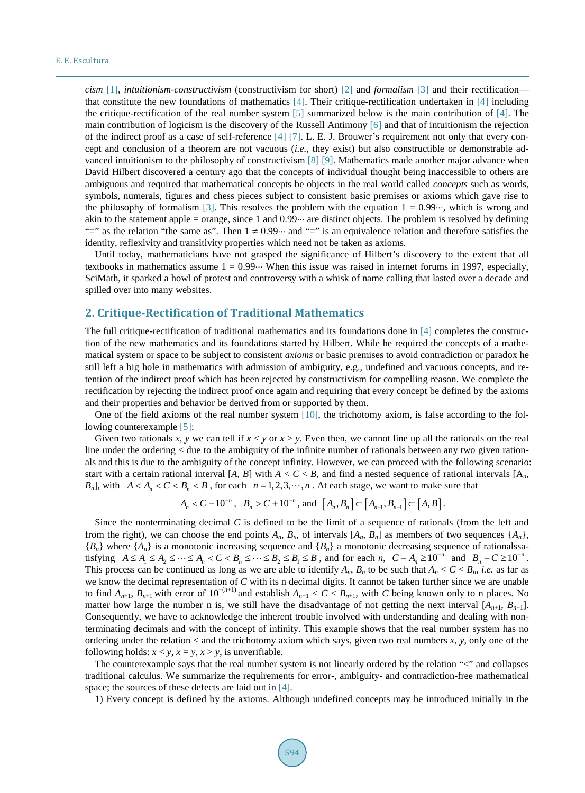*cism* [\[1\],](#page-11-0) *intuitionism-constructivism* (constructivism for short) [\[2\]](#page-11-1) and *formalism* [\[3\]](#page-11-2) and their rectification that constitute the new foundations of mathematics [\[4\].](#page-11-3) Their critique-rectification undertaken in [\[4\]](#page-11-3) including the critique-rectification of the real number system [\[5\]](#page-12-0) summarized below is the main contribution of [\[4\].](#page-11-3) The main contribution of logicism is the discovery of the Russell Antimony [\[6\]](#page-12-1) and that of intuitionism the rejection of the indirect proof as a case of self-reference [\[4\]](#page-11-3) [\[7\].](#page-12-2) L. E. J. Brouwer's requirement not only that every concept and conclusion of a theorem are not vacuous (*i.e.*, they exist) but also constructible or demonstrable advanced intuitionism to the philosophy of constructivism [\[8\]](#page-12-3) [\[9\].](#page-12-4) Mathematics made another major advance when David Hilbert discovered a century ago that the concepts of individual thought being inaccessible to others are ambiguous and required that mathematical concepts be objects in the real world called *concepts* such as words, symbols, numerals, figures and chess pieces subject to consistent basic premises or axioms which gave rise to the philosophy of formalism [\[3\].](#page-11-2) This resolves the problem with the equation  $1 = 0.99 \cdot \cdot \cdot$ , which is wrong and akin to the statement apple = orange, since 1 and 0.99 $\cdot\cdot\cdot$  are distinct objects. The problem is resolved by defining "=" as the relation "the same as". Then  $1 \neq 0.99$ " and "=" is an equivalence relation and therefore satisfies the identity, reflexivity and transitivity properties which need not be taken as axioms.

Until today, mathematicians have not grasped the significance of Hilbert's discovery to the extent that all textbooks in mathematics assume  $1 = 0.99 \cdots$  When this issue was raised in internet forums in 1997, especially, SciMath, it sparked a howl of protest and controversy with a whisk of name calling that lasted over a decade and spilled over into many websites.

# **2. Critique-Rectification of Traditional Mathematics**

The full critique-rectification of traditional mathematics and its foundations done in [\[4\]](#page-11-3) completes the construction of the new mathematics and its foundations started by Hilbert. While he required the concepts of a mathematical system or space to be subject to consistent *axioms* or basic premises to avoid contradiction or paradox he still left a big hole in mathematics with admission of ambiguity, e.g., undefined and vacuous concepts, and retention of the indirect proof which has been rejected by constructivism for compelling reason. We complete the rectification by rejecting the indirect proof once again and requiring that every concept be defined by the axioms and their properties and behavior be derived from or supported by them.

One of the field axioms of the real number system  $[10]$ , the trichotomy axiom, is false according to the following counterexample [\[5\]:](#page-12-0)

Given two rationals x, y we can tell if  $x < y$  or  $x > y$ . Even then, we cannot line up all the rationals on the real line under the ordering  $\lt$  due to the ambiguity of the infinite number of rationals between any two given rationals and this is due to the ambiguity of the concept infinity. However, we can proceed with the following scenario: start with a certain rational interval [*A*, *B*] with  $A < C < B$ , and find a nested sequence of rational intervals [ $A_n$ , *B<sub>n</sub>*], with  $A < A_n < C < B_n < B$ , for each  $n = 1, 2, 3, \dots, n$ . At each stage, we want to make sure that

$$
A_n < C - 10^{-n}
$$
,  $B_n > C + 10^{-n}$ , and  $[A_n, B_n] \subset [A_{n-1}, B_{n-1}] \subset [A, B]$ .

Since the nonterminating decimal *C* is defined to be the limit of a sequence of rationals (from the left and from the right), we can choose the end points  $A_n$ ,  $B_n$ , of intervals  $[A_n, B_n]$  as members of two sequences  $\{A_n\}$ , {*Bn*} where {*An*} is a monotonic increasing sequence and {*Bn*} a monotonic decreasing sequence of rationalssatisfying  $A \le A_1 \le A_2 \le \cdots \le A_n < C < B_n \le \cdots \le B_2 \le B_1 \le B$ , and for each *n*,  $C - A_n \ge 10^{-n}$  and  $B_n - C \ge 10^{-n}$ . This process can be continued as long as we are able to identify  $A_n$ ,  $B_n$  to be such that  $A_n < C < B_n$ , *i.e.* as far as we know the decimal representation of *C* with its n decimal digits. It cannot be taken further since we are unable to find  $A_{n+1}$ ,  $B_{n+1}$  with error of  $10^{-(n+1)}$  and establish  $A_{n+1} < C < B_{n+1}$ , with *C* being known only to n places. No matter how large the number n is, we still have the disadvantage of not getting the next interval  $[A_{n+1}, B_{n+1}].$ Consequently, we have to acknowledge the inherent trouble involved with understanding and dealing with nonterminating decimals and with the concept of infinity. This example shows that the real number system has no ordering under the relation < and the trichotomy axiom which says, given two real numbers *x*, *y*, only one of the following holds:  $x < y$ ,  $x = y$ ,  $x > y$ , is unverifiable.

The counterexample says that the real number system is not linearly ordered by the relation "<" and collapses traditional calculus. We summarize the requirements for error-, ambiguity- and contradiction-free mathematical space; the sources of these defects are laid out in [\[4\].](#page-11-3)

1) Every concept is defined by the axioms. Although undefined concepts may be introduced initially in the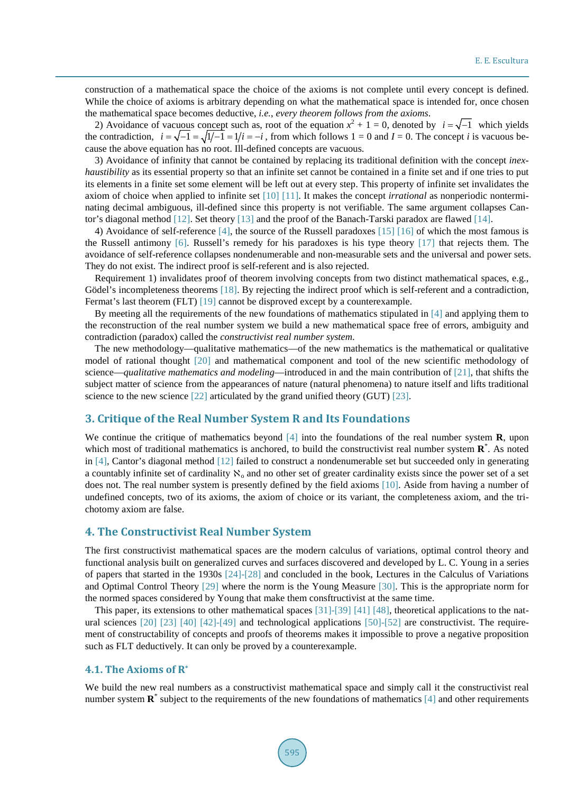construction of a mathematical space the choice of the axioms is not complete until every concept is defined. While the choice of axioms is arbitrary depending on what the mathematical space is intended for, once chosen the mathematical space becomes deductive, *i.e.*, *every theorem follows from the axioms*.

2) Avoidance of vacuous concept such as, root of the equation  $x^2 + 1 = 0$ , denoted by  $i = \sqrt{-1}$  which yields the contradiction,  $i = \sqrt{-1} = \sqrt{1/4} = 1/i = -i$ , from which follows 1 = 0 and *I* = 0. The concept *i* is vacuous because the above equation has no root. Ill-defined concepts are vacuous.

3) Avoidance of infinity that cannot be contained by replacing its traditional definition with the concept *inexhaustibility* as its essential property so that an infinite set cannot be contained in a finite set and if one tries to put its elements in a finite set some element will be left out at every step. This property of infinite set invalidates the axiom of choice when applied to infinite set [\[10\]](#page-12-5) [\[11\].](#page-12-6) It makes the concept *irrational* as nonperiodic nonterminating decimal ambiguous, ill-defined since this property is not verifiable. The same argument collapses Cantor's diagonal method [\[12\].](#page-12-7) Set theory [\[13\]](#page-12-8) and the proof of the Banach-Tarski paradox are flawed [\[14\].](#page-12-9)

4) Avoidance of self-reference [\[4\],](#page-11-3) the source of the Russell paradoxes [\[15\]](#page-12-10) [\[16\]](#page-12-11) of which the most famous is the Russell antimony [\[6\].](#page-12-1) Russell's remedy for his paradoxes is his type theory [\[17\]](#page-12-12) that rejects them. The avoidance of self-reference collapses nondenumerable and non-measurable sets and the universal and power sets. They do not exist. The indirect proof is self-referent and is also rejected.

Requirement 1) invalidates proof of theorem involving concepts from two distinct mathematical spaces, e.g., Gödel's incompleteness theorems [\[18\].](#page-12-13) By rejecting the indirect proof which is self-referent and a contradiction, Fermat's last theorem (FLT) [\[19\]](#page-12-14) cannot be disproved except by a counterexample.

By meeting all the requirements of the new foundations of mathematics stipulated in [\[4\]](#page-11-3) and applying them to the reconstruction of the real number system we build a new mathematical space free of errors, ambiguity and contradiction (paradox) called the *constructivist real number system*.

The new methodology—qualitative mathematics—of the new mathematics is the mathematical or qualitative model of rational thought [\[20\]](#page-12-15) and mathematical component and tool of the new scientific methodology of science—*qualitative mathematics and modeling*—introduced in and the main contribution of [\[21\],](#page-12-16) that shifts the subject matter of science from the appearances of nature (natural phenomena) to nature itself and lifts traditional science to the new science [\[22\]](#page-12-17) articulated by the grand unified theory (GUT) [\[23\].](#page-12-18)

## **3. Critique of the Real Number System R and Its Foundations**

We continue the critique of mathematics beyond [\[4\]](#page-11-3) into the foundations of the real number system **R**, upon which most of traditional mathematics is anchored, to build the constructivist real number system **R**<sup>\*</sup>. As noted in [\[4\],](#page-11-3) Cantor's diagonal method [\[12\]](#page-12-7) failed to construct a nondenumerable set but succeeded only in generating a countably infinite set of cardinality  $\aleph_0$  and no other set of greater cardinality exists since the power set of a set does not. The real number system is presently defined by the field axioms [\[10\].](#page-12-5) Aside from having a number of undefined concepts, two of its axioms, the axiom of choice or its variant, the completeness axiom, and the trichotomy axiom are false.

## **4. The Constructivist Real Number System**

The first constructivist mathematical spaces are the modern calculus of variations, optimal control theory and functional analysis built on generalized curves and surfaces discovered and developed by L. C. Young in a series of papers that started in the 1930s [\[24\]](#page-12-19)[-\[28\]](#page-12-20) and concluded in the book, Lectures in the Calculus of Variations and Optimal Control Theory [\[29\]](#page-12-21) where the norm is the Young Measure [\[30\].](#page-12-22) This is the appropriate norm for the normed spaces considered by Young that make them consftructivist at the same time.

This paper, its extensions to other mathematical spaces [\[31\]-](#page-12-23)[\[39\]](#page-13-0) [\[41\]](#page-13-1) [\[48\],](#page-13-2) theoretical applications to the nat-ural sciences [\[20\]](#page-12-15) [\[23\]](#page-12-18) [\[40\]](#page-13-3) [\[42\]-](#page-13-4)[\[49\]](#page-13-5) and technological applications [\[50\]-](#page-13-6)[\[52\]](#page-13-7) are constructivist. The requirement of constructability of concepts and proofs of theorems makes it impossible to prove a negative proposition such as FLT deductively. It can only be proved by a counterexample.

## **4.1. The Axioms of R\***

We build the new real numbers as a constructivist mathematical space and simply call it the constructivist real number system  $\mathbb{R}^*$  subject to the requirements of the new foundations of mathematics [\[4\]](#page-11-3) and other requirements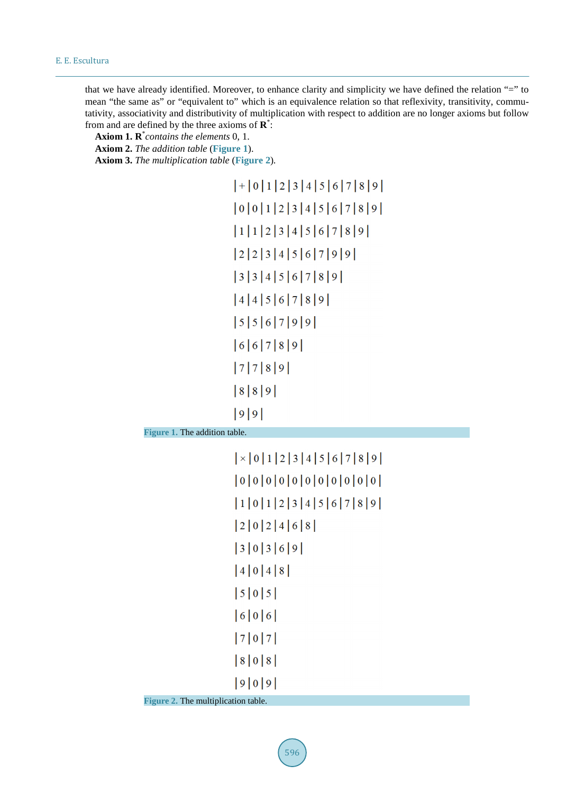that we have already identified. Moreover, to enhance clarity and simplicity we have defined the relation "=" to mean "the same as" or "equivalent to" which is an equivalence relation so that reflexivity, transitivity, commutativity, associativity and distributivity of multiplication with respect to addition are no longer axioms but follow from and are defined by the three axioms of **R**\* :

**Axiom 1. R**\* *contains the elements* 0, 1.

**Axiom 2.** *The addition table* (**[Figure](#page-3-0) 1**).

<span id="page-3-0"></span>**Axiom 3.** *The multiplication table* (**[Figure](#page-3-1) 2**)*.*

```
|+|0|1|2|3|4|5|6|7|8|9||0|0|1|2|3|4|5|6|7|8|9|11123456789223456799933456789|4|4|5|6|7|8|9||5|5|6|7|9|9||6|6|7|8|9|7789|8|8|9||9|9|
```
<span id="page-3-1"></span>**Figure 1.** The addition table.

```
\vert \times \vert 0 \vert 1 \vert 2 \vert 3 \vert 4 \vert 5 \vert 6 \vert 7 \vert 8 \vert 9 \vert|0|0|0|0|0|0|0|0|0|0|0|0|10123456789|2|0|2|4|6|8|30369|4|0|4|8||5|0|5||6|0|6||8|0|8||9|0|9|
```
**Figure 2.** The multiplication table.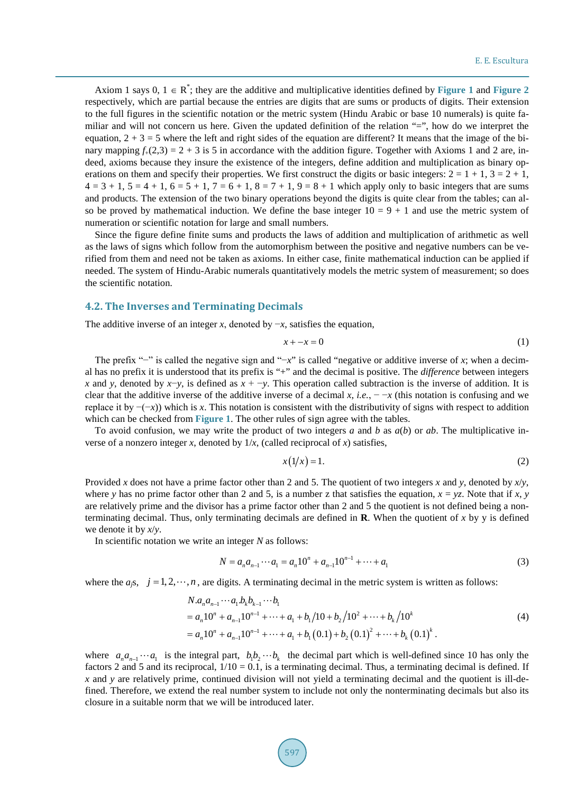Axiom 1 says  $0, 1 \in \mathbb{R}^*$ ; they are the additive and multiplicative identities defined by **[Figure](#page-3-1)** 1 and **Figure** 2 respectively, which are partial because the entries are digits that are sums or products of digits. Their extension to the full figures in the scientific notation or the metric system (Hindu Arabic or base 10 numerals) is quite familiar and will not concern us here. Given the updated definition of the relation "=", how do we interpret the equation,  $2 + 3 = 5$  where the left and right sides of the equation are different? It means that the image of the binary mapping  $f_{+}(2,3) = 2 + 3$  is 5 in accordance with the addition figure. Together with Axioms 1 and 2 are, indeed, axioms because they insure the existence of the integers, define addition and multiplication as binary operations on them and specify their properties. We first construct the digits or basic integers:  $2 = 1 + 1$ ,  $3 = 2 + 1$ ,  $4 = 3 + 1$ ,  $5 = 4 + 1$ ,  $6 = 5 + 1$ ,  $7 = 6 + 1$ ,  $8 = 7 + 1$ ,  $9 = 8 + 1$  which apply only to basic integers that are sums and products. The extension of the two binary operations beyond the digits is quite clear from the tables; can also be proved by mathematical induction. We define the base integer  $10 = 9 + 1$  and use the metric system of numeration or scientific notation for large and small numbers.

Since the figure define finite sums and products the laws of addition and multiplication of arithmetic as well as the laws of signs which follow from the automorphism between the positive and negative numbers can be verified from them and need not be taken as axioms. In either case, finite mathematical induction can be applied if needed. The system of Hindu-Arabic numerals quantitatively models the metric system of measurement; so does the scientific notation.

#### **4.2. The Inverses and Terminating Decimals**

The additive inverse of an integer *x*, denoted by  $-x$ , satisfies the equation,

$$
x + -x = 0 \tag{1}
$$

The prefix "−" is called the negative sign and "−*x*" is called "negative or additive inverse of *x*; when a decimal has no prefix it is understood that its prefix is "+" and the decimal is positive. The *difference* between integers *x* and *y*, denoted by *x*−*y*, is defined as *x* + −*y*. This operation called subtraction is the inverse of addition. It is clear that the additive inverse of the additive inverse of a decimal *x*, *i.e.*,  $-\alpha$  (this notation is confusing and we replace it by −(−*x*)) which is *x*. This notation is consistent with the distributivity of signs with respect to addition which can be checked from **[Figure](#page-3-0) 1**. The other rules of sign agree with the tables.

To avoid confusion, we may write the product of two integers *a* and *b* as *a*(*b*) or *ab*. The multiplicative inverse of a nonzero integer *x*, denoted by  $1/x$ , (called reciprocal of *x*) satisfies,

$$
x(1/x) = 1.\tag{2}
$$

Provided *x* does not have a prime factor other than 2 and 5. The quotient of two integers *x* and *y*, denoted by *x*/*y*, where *y* has no prime factor other than 2 and 5, is a number z that satisfies the equation,  $x = yz$ . Note that if *x*, *y* are relatively prime and the divisor has a prime factor other than 2 and 5 the quotient is not defined being a nonterminating decimal. Thus, only terminating decimals are defined in **R**. When the quotient of *x* by y is defined we denote it by *x*/*y*.

In scientific notation we write an integer *N* as follows:

$$
N = a_n a_{n-1} \cdots a_1 = a_n 10^n + a_{n-1} 10^{n-1} + \cdots + a_1
$$
\n(3)

where the  $a_j$ s,  $j = 1, 2, \dots, n$ , are digits. A terminating decimal in the metric system is written as follows:

$$
N.anan-1...a1bkbk-1...b1= an10n + an-110n-1 + ... + a1 + b1/10 + b2/102 + ... + bk/10k= an10n + an-110n-1 + ... + a1 + b1(0.1) + b2(0.1)2 + ... + bk(0.1)k.
$$
 (4)

where  $a_n a_{n-1} \cdots a_1$  is the integral part,  $b_1 b_2 \cdots b_k$  the decimal part which is well-defined since 10 has only the factors 2 and 5 and its reciprocal,  $1/10 = 0.1$ , is a terminating decimal. Thus, a terminating decimal is defined. If *x* and *y* are relatively prime, continued division will not yield a terminating decimal and the quotient is ill-defined. Therefore, we extend the real number system to include not only the nonterminating decimals but also its closure in a suitable norm that we will be introduced later.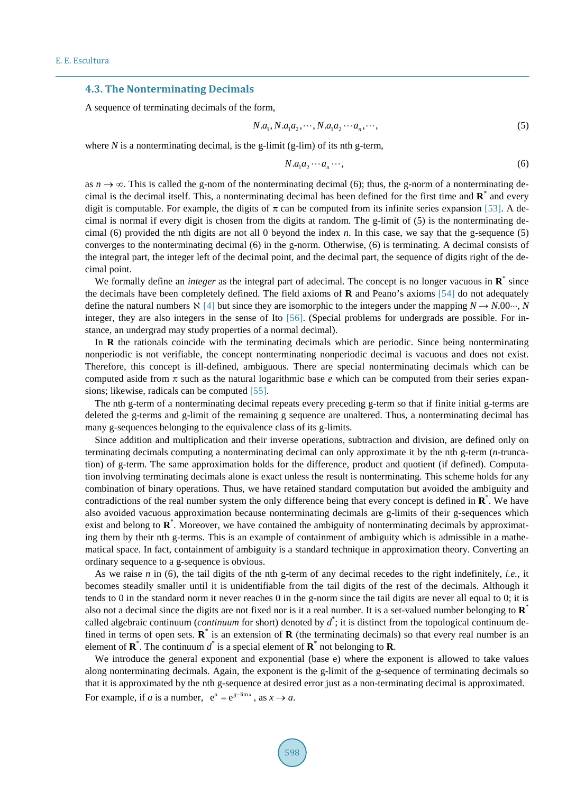## **4.3. The Nonterminating Decimals**

A sequence of terminating decimals of the form,

$$
N.a1, N.a1a2, \cdots, N.a1a2 \cdots an, \cdots,
$$
\n(5)

where *N* is a nonterminating decimal, is the g-limit (g-lim) of its nth g-term,

$$
N.a_1a_2\cdots a_n\cdots,\t\t(6)
$$

as  $n \to \infty$ . This is called the g-nom of the nonterminating decimal (6); thus, the g-norm of a nonterminating decimal is the decimal itself. This, a nonterminating decimal has been defined for the first time and **R**\* and every digit is computable. For example, the digits of  $\pi$  can be computed from its infinite series expansion [\[53\].](#page-13-8) A decimal is normal if every digit is chosen from the digits at random. The g-limit of (5) is the nonterminating decimal (6) provided the nth digits are not all 0 beyond the index *n*. In this case, we say that the g-sequence (5) converges to the nonterminating decimal (6) in the g-norm. Otherwise, (6) is terminating. A decimal consists of the integral part, the integer left of the decimal point, and the decimal part, the sequence of digits right of the decimal point.

We formally define an *integer* as the integral part of adecimal. The concept is no longer vacuous in **R**\* since the decimals have been completely defined. The field axioms of **R** and Peano's axioms [\[54\]](#page-13-9) do not adequately define the natural numbers  $\aleph$  [\[4\]](#page-11-3) but since they are isomorphic to the integers under the mapping  $N \to N.00 \cdots$ , *N* integer, they are also integers in the sense of Ito [\[56\].](#page-13-10) (Special problems for undergrads are possible. For instance, an undergrad may study properties of a normal decimal).

In **R** the rationals coincide with the terminating decimals which are periodic. Since being nonterminating nonperiodic is not verifiable, the concept nonterminating nonperiodic decimal is vacuous and does not exist. Therefore, this concept is ill-defined, ambiguous. There are special nonterminating decimals which can be computed aside from  $\pi$  such as the natural logarithmic base *e* which can be computed from their series expansions; likewise, radicals can be computed [\[55\].](#page-13-11) 

The nth g-term of a nonterminating decimal repeats every preceding g-term so that if finite initial g-terms are deleted the g-terms and g-limit of the remaining g sequence are unaltered. Thus, a nonterminating decimal has many g-sequences belonging to the equivalence class of its g-limits.

Since addition and multiplication and their inverse operations, subtraction and division, are defined only on terminating decimals computing a nonterminating decimal can only approximate it by the nth g-term (*n*-truncation) of g-term. The same approximation holds for the difference, product and quotient (if defined). Computation involving terminating decimals alone is exact unless the result is nonterminating. This scheme holds for any combination of binary operations. Thus, we have retained standard computation but avoided the ambiguity and contradictions of the real number system the only difference being that every concept is defined in **R**\* . We have also avoided vacuous approximation because nonterminating decimals are g-limits of their g-sequences which exist and belong to **R**\* . Moreover, we have contained the ambiguity of nonterminating decimals by approximating them by their nth g-terms. This is an example of containment of ambiguity which is admissible in a mathematical space. In fact, containment of ambiguity is a standard technique in approximation theory. Converting an ordinary sequence to a g-sequence is obvious.

As we raise *n* in (6), the tail digits of the nth g-term of any decimal recedes to the right indefinitely, *i.e.*, it becomes steadily smaller until it is unidentifiable from the tail digits of the rest of the decimals. Although it tends to 0 in the standard norm it never reaches 0 in the g-norm since the tail digits are never all equal to 0; it is also not a decimal since the digits are not fixed nor is it a real number. It is a set-valued number belonging to **R**\* called algebraic continuum (*continuum* for short) denoted by  $d^*$ ; it is distinct from the topological continuum defined in terms of open sets.  $\mathbf{R}^*$  is an extension of  $\mathbf{R}$  (the terminating decimals) so that every real number is an element of  $\mathbf{R}^*$ . The continuum  $d^*$  is a special element of  $\mathbf{R}^*$  not belonging to  $\mathbf{R}$ .

We introduce the general exponent and exponential (base e) where the exponent is allowed to take values along nonterminating decimals. Again, the exponent is the g-limit of the g-sequence of terminating decimals so that it is approximated by the nth g-sequence at desired error just as a non-terminating decimal is approximated. For example, if *a* is a number,  $e^a = e^{g-\lim x}$ , as  $x \to a$ .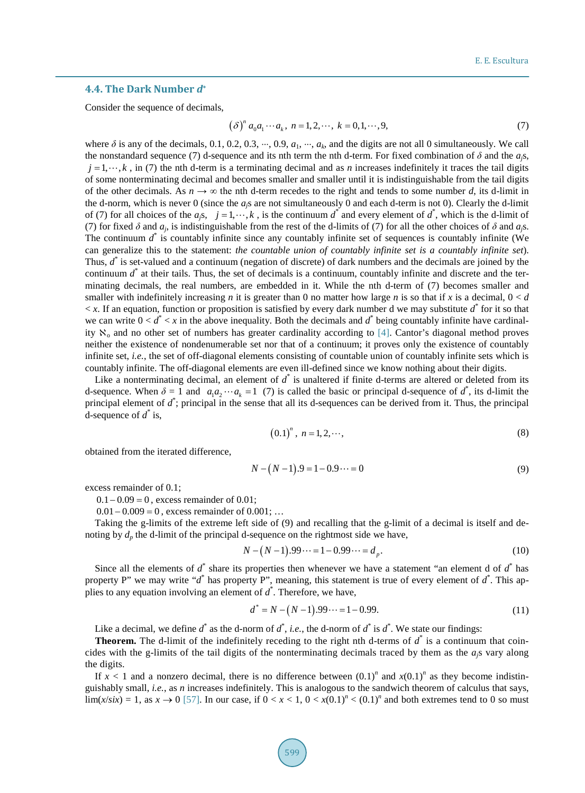### **4.4. The Dark Number** *d***\***

Consider the sequence of decimals.

$$
(\delta)^{n} a_{0} a_{1} \cdots a_{k}, \ n = 1, 2, \cdots, \ k = 0, 1, \cdots, 9,
$$
 (7)

where  $\delta$  is any of the decimals, 0.1, 0.2, 0.3,  $\cdots$ , 0.9,  $a_1$ ,  $\cdots$ ,  $a_k$ , and the digits are not all 0 simultaneously. We call the nonstandard sequence (7) d-sequence and its nth term the nth d-term. For fixed combination of  $\delta$  and the *a<sub>i</sub>s*,  $j = 1, \dots, k$ , in (7) the nth d-term is a terminating decimal and as *n* increases indefinitely it traces the tail digits of some nonterminating decimal and becomes smaller and smaller until it is indistinguishable from the tail digits of the other decimals. As  $n \to \infty$  the nth d-term recedes to the right and tends to some number *d*, its d-limit in the d-norm, which is never 0 (since the *aj*s are not simultaneously 0 and each d-term is not 0). Clearly the d-limit of (7) for all choices of the  $a_j s$ ,  $j = 1, \dots, k$ , is the continuum  $d^*$  and every element of  $d^*$ , which is the d-limit of (7) for fixed  $\delta$  and  $a_i$ , is indistinguishable from the rest of the d-limits of (7) for all the other choices of  $\delta$  and  $a_i$ s. The continuum *d*\* is countably infinite since any countably infinite set of sequences is countably infinite (We can generalize this to the statement: *the countable union of countably infinite set is a countably infinite set*). Thus, *d*\* is set-valued and a continuum (negation of discrete) of dark numbers and the decimals are joined by the continuum *d*\* at their tails. Thus, the set of decimals is a continuum, countably infinite and discrete and the terminating decimals, the real numbers, are embedded in it. While the nth d-term of (7) becomes smaller and smaller with indefinitely increasing *n* it is greater than 0 no matter how large *n* is so that if *x* is a decimal,  $0 < d$  $\langle x, y \rangle$  is an equation, function or proposition is satisfied by every dark number d we may substitute  $\hat{d}$  for it so that we can write  $0 < d^* < x$  in the above inequality. Both the decimals and  $d^*$  being countably infinite have cardinality  $\aleph_0$  and no other set of numbers has greater cardinality according to [\[4\].](#page-11-3) Cantor's diagonal method proves neither the existence of nondenumerable set nor that of a continuum; it proves only the existence of countably infinite set, *i.e.*, the set of off-diagonal elements consisting of countable union of countably infinite sets which is countably infinite. The off-diagonal elements are even ill-defined since we know nothing about their digits.

Like a nonterminating decimal, an element of  $d^*$  is unaltered if finite d-terms are altered or deleted from its d-sequence. When  $\delta = 1$  and  $a_1 a_2 \cdots a_k = 1$  (7) is called the basic or principal d-sequence of  $d^*$ , its d-limit the principal element of  $d^*$ ; principal in the sense that all its d-sequences can be derived from it. Thus, the principal d-sequence of  $\hat{d}$  is,

$$
(0.1)n, n = 1, 2, \cdots,
$$
 (8)

obtained from the iterated difference,

$$
N - (N - 1) \cdot 9 = 1 - 0 \cdot 9 \cdots = 0 \tag{9}
$$

excess remainder of 0.1;

 $0.1 - 0.09 = 0$ , excess remainder of 0.01;

 $0.01 - 0.009 = 0$ , excess remainder of  $0.001$ ; ...

Taking the g-limits of the extreme left side of (9) and recalling that the g-limit of a decimal is itself and denoting by  $d_p$  the d-limit of the principal d-sequence on the rightmost side we have,

$$
N - (N - 1) \cdot 99 \cdots = 1 - 0 \cdot 99 \cdots = d_p. \tag{10}
$$

Since all the elements of *d*\* share its properties then whenever we have a statement "an element d of *d*\* has property P" we may write "*d*\* has property P", meaning, this statement is true of every element of *d*\* . This applies to any equation involving an element of  $d^*$ . Therefore, we have,

$$
d^* = N - (N - 1) \cdot 99 \cdots = 1 - 0 \cdot 99. \tag{11}
$$

Like a decimal, we define  $d^*$  as the d-norm of  $d^*$ , *i.e.*, the d-norm of  $d^*$  is  $d^*$ . We state our findings:

**Theorem.** The d-limit of the indefinitely receding to the right nth d-terms of  $d^*$  is a continuum that coincides with the g-limits of the tail digits of the nonterminating decimals traced by them as the  $a<sub>j</sub>$ s vary along the digits.

If  $x < 1$  and a nonzero decimal, there is no difference between  $(0.1)^n$  and  $x(0.1)^n$  as they become indistinguishably small, *i.e.*, as *n* increases indefinitely. This is analogous to the sandwich theorem of calculus that says,  $\lim_{x \to 0}$  lim(*x*/*six*) = 1, as  $x \to 0$  [\[57\].](#page-13-12) In our case, if  $0 < x < 1$ ,  $0 < x(0.1)^n < (0.1)^n$  and both extremes tend to 0 so must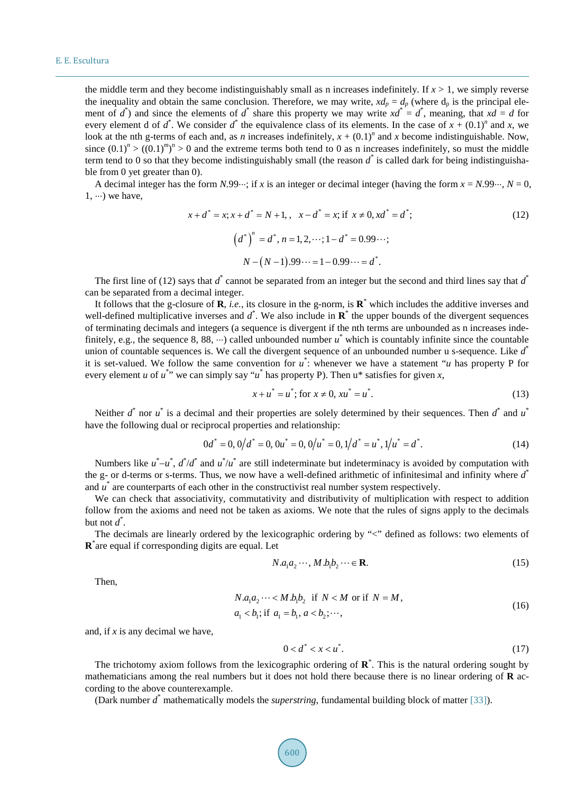the middle term and they become indistinguishably small as n increases indefinitely. If  $x > 1$ , we simply reverse the inequality and obtain the same conclusion. Therefore, we may write,  $xd_p = d_p$  (where  $d_p$  is the principal element of  $d^*$ ) and since the elements of  $d^*$  share this property we may write  $xd^* = d^*$ , meaning, that  $xd = d$  for every element d of  $d^*$ . We consider  $d^*$  the equivalence class of its elements. In the case of  $x + (0.1)^n$  and  $x$ , we look at the nth g-terms of each and, as *n* increases indefinitely,  $x + (0.1)^n$  and *x* become indistinguishable. Now, since  $(0.1)^n$  >  $((0.1)^m)^n$  > 0 and the extreme terms both tend to 0 as n increases indefinitely, so must the middle term tend to 0 so that they become indistinguishably small (the reason *d\** is called dark for being indistinguishable from 0 yet greater than 0).

A decimal integer has the form *N*.99⋅⋅⋅; if *x* is an integer or decimal integer (having the form  $x = N.99$ ⋅⋅⋅,  $N = 0$ ,  $1, \dots$ ) we have,

$$
x + d^* = x; x + d^* = N + 1, \quad x - d^* = x; \text{ if } x \neq 0, xd^* = d^*;\\
\left(d^*\right)^n = d^*, n = 1, 2, \dots; 1 - d^* = 0.99 \dots;\\
N - (N - 1).99 \dots = 1 - 0.99 \dots = d^*.
$$
\n(12)

The first line of (12) says that *d*\* cannot be separated from an integer but the second and third lines say that *d*\* can be separated from a decimal integer.

It follows that the g-closure of **R**, *i.e.*, its closure in the g-norm, is **R**\* which includes the additive inverses and well-defined multiplicative inverses and  $d^*$ . We also include in  $\mathbb{R}^*$  the upper bounds of the divergent sequences of terminating decimals and integers (a sequence is divergent if the nth terms are unbounded as n increases indefinitely, e.g., the sequence 8, 88,  $\cdots$ ) called unbounded number  $u^*$  which is countably infinite since the countable union of countable sequences is. We call the divergent sequence of an unbounded number u s-sequence. Like *d*\* it is set-valued. We follow the same convention for  $u^*$ : whenever we have a statement "*u* has property P for every element *u* of  $u^*$  we can simply say " $u^*$  has property P). Then  $u^*$  satisfies for given *x*,

$$
x + u^* = u^*; \text{ for } x \neq 0, xu^* = u^*.
$$
 (13)

Neither  $d^*$  nor  $u^*$  is a decimal and their properties are solely determined by their sequences. Then  $d^*$  and  $u^*$ have the following dual or reciprocal properties and relationship:

$$
0d^* = 0, 0/d^* = 0, 0u^* = 0, 0/u^* = 0, 1/d^* = u^*, 1/u^* = d^*.
$$
\n(14)

Numbers like  $u^*$ – $u^*$ ,  $d^*/d^*$  and  $u^*/u^*$  are still indeterminate but indeterminacy is avoided by computation with the g- or d-terms or s-terms. Thus, we now have a well-defined arithmetic of infinitesimal and infinity where *d*\* and *u*\* are counterparts of each other in the constructivist real number system respectively.

We can check that associativity, commutativity and distributivity of multiplication with respect to addition follow from the axioms and need not be taken as axioms. We note that the rules of signs apply to the decimals but not *d*\* .

The decimals are linearly ordered by the lexicographic ordering by "<" defined as follows: two elements of **R**\* are equal if corresponding digits are equal. Let

$$
N.a_1a_2\cdots, M.b_1b_2\cdots \in \mathbf{R}.\tag{15}
$$

Then,

$$
N.a1a2...< M.b1b2 if N < M or if N = M,a1 < b1; if a1 = b1, a < b2;...,
$$
\n(16)

and, if *x* is any decimal we have,

$$
0 < d^* < x < u^* \tag{17}
$$

The trichotomy axiom follows from the lexicographic ordering of **R**\* . This is the natural ordering sought by mathematicians among the real numbers but it does not hold there because there is no linear ordering of **R** according to the above counterexample.

(Dark number *d*\* mathematically models the *superstring*, fundamental building block of matter [\[33\]\)](#page-12-24).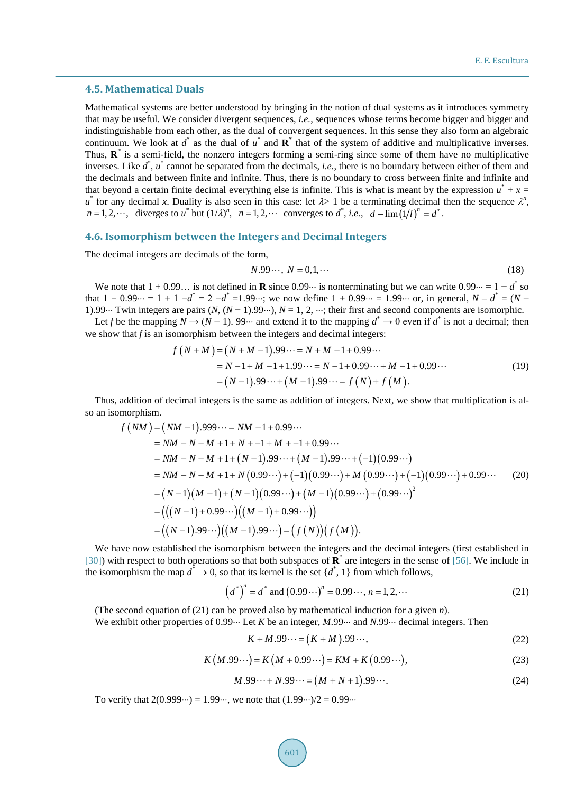#### **4.5. Mathematical Duals**

Mathematical systems are better understood by bringing in the notion of dual systems as it introduces symmetry that may be useful. We consider divergent sequences, *i.e.*, sequences whose terms become bigger and bigger and indistinguishable from each other, as the dual of convergent sequences. In this sense they also form an algebraic continuum. We look at *d*\* as the dual of *u*\* and **R**\* that of the system of additive and multiplicative inverses. Thus, **R**\* is a semi-field, the nonzero integers forming a semi-ring since some of them have no multiplicative inverses. Like *d*\* , *u*\* cannot be separated from the decimals, *i.e.*, there is no boundary between either of them and the decimals and between finite and infinite. Thus, there is no boundary to cross between finite and infinite and that beyond a certain finite decimal everything else is infinite. This is what is meant by the expression  $u^* + x =$  $u^*$  for any decimal *x*. Duality is also seen in this case: let  $\lambda > 1$  be a terminating decimal then the sequence  $\lambda^n$ ,  $n = 1, 2, \dots$ , diverges to  $u^*$  but  $(1/\lambda)^n$ ,  $n = 1, 2, \dots$  converges to  $d^*$ , *i.e.*,  $d - \lim_{h \to 0} (1/l)^n = d^*$ .

#### **4.6. Isomorphism between the Integers and Decimal Integers**

The decimal integers are decimals of the form,

$$
N.99\cdots, N = 0,1,\cdots
$$
\n<sup>(18)</sup>

We note that  $1 + 0.99...$  is not defined in **R** since 0.99⋅⋅⋅ is nonterminating but we can write 0.99⋅⋅⋅ = 1 − *d*<sup>\*</sup> so that  $1 + 0.99 \dots = 1 + 1 - d^* = 2 - d^* = 1.99 \dots$ ; we now define  $1 + 0.99 \dots = 1.99 \dots$  or, in general,  $N - d^* = (N - 1.99 \dots)$ 1).99⋅⋅⋅ Twin integers are pairs  $(N, (N-1).99\cdots)$ ,  $N = 1, 2, \cdots$ ; their first and second components are isomorphic.

Let *f* be the mapping  $N \rightarrow (N-1)$ . 99⋅⋅⋅ and extend it to the mapping  $d^* \rightarrow 0$  even if  $d^*$  is not a decimal; then we show that *f* is an isomorphism between the integers and decimal integers:

$$
f(N+M) = (N+M-1).99\dots = N+M-1+0.99\dots
$$
  
= N-1+M-1+1.99\dots = N-1+0.99\dots + M-1+0.99\dots  
= (N-1).99\dots + (M-1).99\dots = f(N)+f(M). (19)

Thus, addition of decimal integers is the same as addition of integers. Next, we show that multiplication is also an isomorphism.

$$
f(NM) = (NM - 1).999\cdots = NM - 1 + 0.99\cdots
$$
  
= NM - N - M + 1 + N + -1 + M + -1 + 0.99\cdots  
= NM - N - M + 1 + (N - 1).99\cdots + (M - 1).99\cdots + (-1)(0.99\cdots)  
= NM - N - M + 1 + N(0.99\cdots) + (-1)(0.99\cdots) + M(0.99\cdots) + (-1)(0.99\cdots) + 0.99\cdots  
= (N - 1)(M - 1) + (N - 1)(0.99\cdots) + (M - 1)(0.99\cdots) + (0.99\cdots)^2  
= (((N - 1) + 0.99\cdots)((M - 1) + 0.99\cdots))  
= ((N - 1).99\cdots)((M - 1).99\cdots) = (f(N))(f(M)).

We have now established the isomorphism between the integers and the decimal integers (first established in [\[30\]\)](#page-12-22) with respect to both operations so that both subspaces of **R**\* are integers in the sense o[f \[56\].](#page-13-10) We include in the isomorphism the map  $d^* \to 0$ , so that its kernel is the set  $\{d^*, 1\}$  from which follows,

$$
(d^*)^n = d^* \text{ and } (0.99\cdots)^n = 0.99\cdots, n = 1, 2, \cdots
$$
 (21)

(The second equation of (21) can be proved also by mathematical induction for a given *n*).

We exhibit other properties of 0.99 ··· Let *K* be an integer, *M*.99 ··· and *N*.99 ··· decimal integers. Then

$$
K + M.99\cdots = (K + M).99\cdots,
$$
\n(22)

$$
K(M.99\cdots) = K(M + 0.99\cdots) = KM + K(0.99\cdots),
$$
\n(23)

$$
M.99\dots + N.99\dots = (M + N + 1).99\dots
$$
\n(24)

To verify that  $2(0.999\cdots) = 1.99\cdots$ , we note that  $(1.99\cdots)/2 = 0.99\cdots$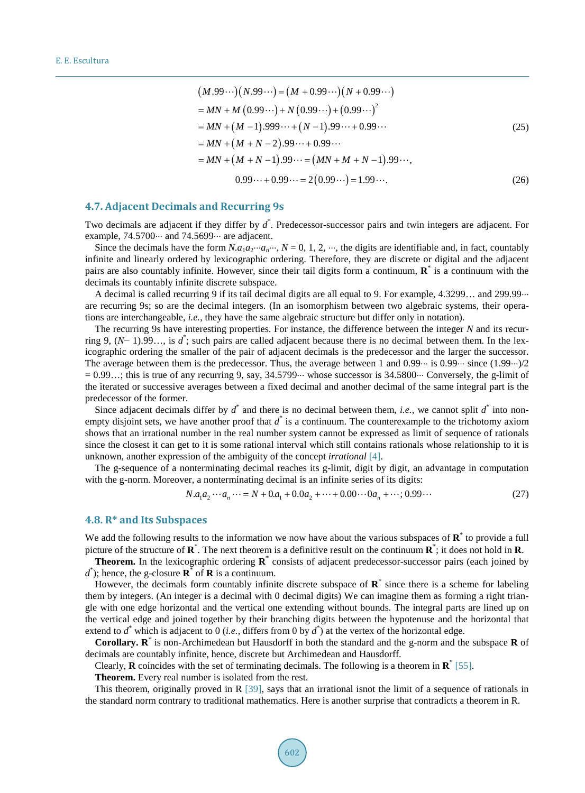$$
(M.99\cdots)(N.99\cdots) = (M + 0.99\cdots)(N + 0.99\cdots)
$$
  
= MN + M (0.99\cdots) + N (0.99\cdots) + (0.99\cdots)<sup>2</sup>  
= MN + (M - 1).999\cdots + (N - 1).99\cdots + 0.99\cdots  
= MN + (M + N - 2).99\cdots + 0.99\cdots  
= MN + (M + N - 1).99\cdots = (MN + M + N - 1).99\cdots,  
0.99\cdots + 0.99\cdots = 2(0.99\cdots) = 1.99\cdots. (26)

#### **4.7. Adjacent Decimals and Recurring 9s**

Two decimals are adjacent if they differ by *d*\* . Predecessor-successor pairs and twin integers are adjacent. For example,  $74.5700\cdots$  and  $74.5699\cdots$  are adjacent.

Since the decimals have the form  $N.a_1a_2...a_n...N=0, 1, 2, ...$ , the digits are identifiable and, in fact, countably infinite and linearly ordered by lexicographic ordering. Therefore, they are discrete or digital and the adjacent pairs are also countably infinite. However, since their tail digits form a continuum, **R**\* is a continuum with the decimals its countably infinite discrete subspace.

A decimal is called recurring 9 if its tail decimal digits are all equal to 9. For example, 4.3299... and 299.99⋅⋅⋅ are recurring 9s; so are the decimal integers. (In an isomorphism between two algebraic systems, their operations are interchangeable, *i.e.*, they have the same algebraic structure but differ only in notation).

The recurring 9s have interesting properties. For instance, the difference between the integer *N* and its recurring 9,  $(N-1)$ .99..., is  $d^*$ ; such pairs are called adjacent because there is no decimal between them. In the lexicographic ordering the smaller of the pair of adjacent decimals is the predecessor and the larger the successor. The average between them is the predecessor. Thus, the average between 1 and  $0.99\cdots$  is  $0.99\cdots$  since  $(1.99\cdots)$ /2  $= 0.99...$ ; this is true of any recurring 9, say, 34.5799⋅⋅⋅ whose successor is 34.5800⋅⋅⋅ Conversely, the g-limit of the iterated or successive averages between a fixed decimal and another decimal of the same integral part is the predecessor of the former.

Since adjacent decimals differ by  $d^*$  and there is no decimal between them, *i.e.*, we cannot split  $d^*$  into nonempty disjoint sets, we have another proof that  $d^*$  is a continuum. The counterexample to the trichotomy axiom shows that an irrational number in the real number system cannot be expressed as limit of sequence of rationals since the closest it can get to it is some rational interval which still contains rationals whose relationship to it is unknown, another expression of the ambiguity of the concept *irrational* [\[4\].](#page-11-3)

The g-sequence of a nonterminating decimal reaches its g-limit, digit by digit, an advantage in computation with the g-norm. Moreover, a nonterminating decimal is an infinite series of its digits:

$$
N.a_1a_2 \cdots a_n \cdots = N + 0.a_1 + 0.0a_2 + \cdots + 0.00 \cdots 0a_n + \cdots; 0.99 \cdots
$$
\n<sup>(27)</sup>

#### **4.8. R\* and Its Subspaces**

We add the following results to the information we now have about the various subspaces of **R**<sup>\*</sup> to provide a full picture of the structure of **R**\* . The next theorem is a definitive result on the continuum **R**\* ; it does not hold in **R**.

**Theorem.** In the lexicographic ordering **R**<sup>\*</sup> consists of adjacent predecessor-successor pairs (each joined by  $d^*$ ); hence, the g-closure  $\mathbf{R}^*$  of  $\mathbf{R}$  is a continuum.

However, the decimals form countably infinite discrete subspace of **R**\* since there is a scheme for labeling them by integers. (An integer is a decimal with 0 decimal digits) We can imagine them as forming a right triangle with one edge horizontal and the vertical one extending without bounds. The integral parts are lined up on the vertical edge and joined together by their branching digits between the hypotenuse and the horizontal that extend to  $d^*$  which is adjacent to 0 (*i.e.*, differs from 0 by  $d^*$ ) at the vertex of the horizontal edge.

**Corollary. R**\* is non-Archimedean but Hausdorff in both the standard and the g-norm and the subspace **R** of decimals are countably infinite, hence, discrete but Archimedean and Hausdorff.

Clearly, **R** coincides with the set of terminating decimals. The following is a theorem in  $\mathbf{R}^*$  [55].

**Theorem.** Every real number is isolated from the rest.

This theorem, originally proved in R [\[39\],](#page-13-0) says that an irrational isnot the limit of a sequence of rationals in the standard norm contrary to traditional mathematics. Here is another surprise that contradicts a theorem in R.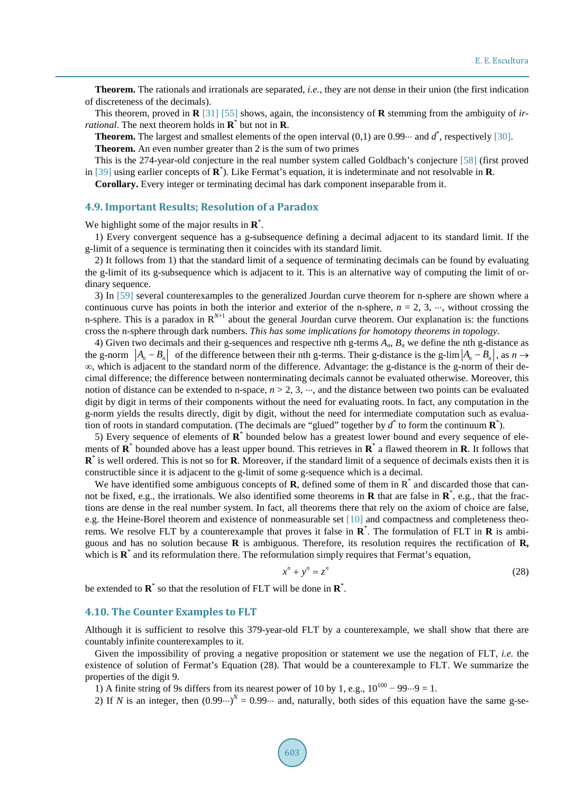**Theorem.** The rationals and irrationals are separated, *i.e.*, they are not dense in their union (the first indication of discreteness of the decimals).

This theorem, proved in **R** [\[31\]](#page-12-23) [\[55\]](#page-13-11) shows, again, the inconsistency of **R** stemming from the ambiguity of *irrational*. The next theorem holds in **R**\* but not in **R**.

**Theorem.** The largest and smallest elements of the open interval  $(0,1)$  are  $0.99\cdots$  and  $d^*$ , respectively [\[30\].](#page-12-22) **Theorem.** An even number greater than 2 is the sum of two primes

This is the 274-year-old conjecture in the real number system called Goldbach's conjecture [\[58\]](#page-13-13) (first proved in [\[39\]](#page-13-0) using earlier concepts of **R**\* ). Like Fermat's equation, it is indeterminate and not resolvable in **R**.

**Corollary.** Every integer or terminating decimal has dark component inseparable from it.

## **4.9. Important Results; Resolution of a Paradox**

We highlight some of the major results in **R**\* .

1) Every convergent sequence has a g-subsequence defining a decimal adjacent to its standard limit. If the g-limit of a sequence is terminating then it coincides with its standard limit.

2) It follows from 1) that the standard limit of a sequence of terminating decimals can be found by evaluating the g-limit of its g-subsequence which is adjacent to it. This is an alternative way of computing the limit of ordinary sequence.

3) In [\[59\]](#page-14-0) several counterexamples to the generalized Jourdan curve theorem for n-sphere are shown where a continuous curve has points in both the interior and exterior of the n-sphere,  $n = 2, 3, \dots$ , without crossing the n-sphere. This is a paradox in  $R^{N+1}$  about the general Jourdan curve theorem. Our explanation is: the functions cross the n-sphere through dark numbers. *This has some implications for homotopy theorems in topology.* 

4) Given two decimals and their g-sequences and respective nth g-terms *An*, *Bn* we define the nth g-distance as the g-norm  $|A_n - B_n|$  of the difference between their nth g-terms. Their g-distance is the g-lim  $|A_n - B_n|$ , as  $n \to \infty$ ∞, which is adjacent to the standard norm of the difference. Advantage: the g-distance is the g-norm of their decimal difference; the difference between nonterminating decimals cannot be evaluated otherwise. Moreover, this notion of distance can be extended to n-space,  $n > 2, 3, \dots$ , and the distance between two points can be evaluated digit by digit in terms of their components without the need for evaluating roots. In fact, any computation in the g-norm yields the results directly, digit by digit, without the need for intermediate computation such as evaluation of roots in standard computation. (The decimals are "glued" together by  $d^*$  to form the continuum  $\mathbf{R}^*$ ).

5) Every sequence of elements of **R**\* bounded below has a greatest lower bound and every sequence of elements of **R**\* bounded above has a least upper bound. This retrieves in **R**\* a flawed theorem in **R**. It follows that **R**\* is well ordered. This is not so for **R**. Moreover, if the standard limit of a sequence of decimals exists then it is constructible since it is adjacent to the g-limit of some g-sequence which is a decimal.

We have identified some ambiguous concepts of **R**, defined some of them in R<sup>\*</sup> and discarded those that cannot be fixed, e.g., the irrationals. We also identified some theorems in **R** that are false in **R**\* , e.g., that the fractions are dense in the real number system. In fact, all theorems there that rely on the axiom of choice are false, e.g. the Heine-Borel theorem and existence of nonmeasurable set [\[10\]](#page-12-5) and compactness and completeness theorems. We resolve FLT by a counterexample that proves it false in **R**\* . The formulation of FLT in **R** is ambiguous and has no solution because **R** is ambiguous. Therefore, its resolution requires the rectification of **R,**  which is  $\mathbf{R}^*$  and its reformulation there. The reformulation simply requires that Fermat's equation,

$$
x^n + y^n = z^n \tag{28}
$$

be extended to **R**\* so that the resolution of FLT will be done in **R**\* .

#### **4.10. The Counter Examples to FLT**

Although it is sufficient to resolve this 379-year-old FLT by a counterexample, we shall show that there are countably infinite counterexamples to it.

Given the impossibility of proving a negative proposition or statement we use the negation of FLT, *i.e.* the existence of solution of Fermat's Equation (28). That would be a counterexample to FLT. We summarize the properties of the digit 9.

1) A finite string of 9s differs from its nearest power of 10 by 1, e.g.,  $10^{100} - 99 \cdot . \cdot 9 = 1$ .

2) If *N* is an integer, then  $(0.99 \cdot \cdot \cdot)^N = 0.99 \cdot \cdot \cdot$  and, naturally, both sides of this equation have the same g-se-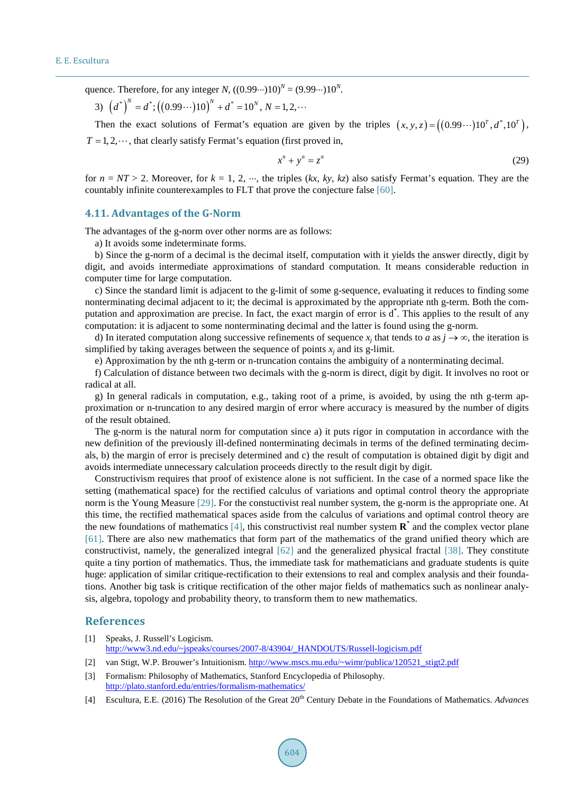quence. Therefore, for any integer *N*,  $((0.99\cdots)10)^N = (9.99\cdots)10^N$ .

3) 
$$
(d^*)^N = d^*; ((0.99\cdots)10)^N + d^* = 10^N, N = 1, 2, \cdots
$$

Then the exact solutions of Fermat's equation are given by the triples  $(x, y, z) = ((0.99 \cdots) 10^7, d^*, 10^7)$ ,  $T = 1, 2, \dots$ , that clearly satisfy Fermat's equation (first proved in,

$$
x^n + y^n = z^n \tag{29}
$$

for  $n = NT > 2$ . Moreover, for  $k = 1, 2, \dots$ , the triples  $(kx, ky, kz)$  also satisfy Fermat's equation. They are the countably infinite counterexamples to FLT that prove the conjecture false [\[60\].](#page-14-1)

#### **4.11. Advantages of the G-Norm**

The advantages of the g-norm over other norms are as follows:

a) It avoids some indeterminate forms.

b) Since the g-norm of a decimal is the decimal itself, computation with it yields the answer directly, digit by digit, and avoids intermediate approximations of standard computation. It means considerable reduction in computer time for large computation.

c) Since the standard limit is adjacent to the g-limit of some g-sequence, evaluating it reduces to finding some nonterminating decimal adjacent to it; the decimal is approximated by the appropriate nth g-term. Both the computation and approximation are precise. In fact, the exact margin of error is d<sup>\*</sup>. This applies to the result of any computation: it is adjacent to some nonterminating decimal and the latter is found using the g-norm.

d) In iterated computation along successive refinements of sequence  $x_i$  that tends to *a* as  $j \to \infty$ , the iteration is simplified by taking averages between the sequence of points  $x_i$  and its g-limit.

e) Approximation by the nth g-term or n-truncation contains the ambiguity of a nonterminating decimal.

f) Calculation of distance between two decimals with the g-norm is direct, digit by digit. It involves no root or radical at all.

g) In general radicals in computation, e.g., taking root of a prime, is avoided, by using the nth g-term approximation or n-truncation to any desired margin of error where accuracy is measured by the number of digits of the result obtained.

The g-norm is the natural norm for computation since a) it puts rigor in computation in accordance with the new definition of the previously ill-defined nonterminating decimals in terms of the defined terminating decimals, b) the margin of error is precisely determined and c) the result of computation is obtained digit by digit and avoids intermediate unnecessary calculation proceeds directly to the result digit by digit.

Constructivism requires that proof of existence alone is not sufficient. In the case of a normed space like the setting (mathematical space) for the rectified calculus of variations and optimal control theory the appropriate norm is the Young Measure [\[29\].](#page-12-21) For the constuctivist real number system, the g-norm is the appropriate one. At this time, the rectified mathematical spaces aside from the calculus of variations and optimal control theory are the new foundations of mathematics [\[4\],](#page-11-3) this constructivist real number system **R**\* and the complex vector plane [\[61\].](#page-14-2) There are also new mathematics that form part of the mathematics of the grand unified theory which are constructivist, namely, the generalized integral [\[62\]](#page-14-3) and the generalized physical fractal [\[38\].](#page-13-14) They constitute quite a tiny portion of mathematics. Thus, the immediate task for mathematicians and graduate students is quite huge: application of similar critique-rectification to their extensions to real and complex analysis and their foundations. Another big task is critique rectification of the other major fields of mathematics such as nonlinear analysis, algebra, topology and probability theory, to transform them to new mathematics.

#### **References**

- <span id="page-11-0"></span>[1] Speaks, J. Russell's Logicism. [http://www3.nd.edu/~jspeaks/courses/2007-8/43904/\\_HANDOUTS/Russell-logicism.pdf](http://www3.nd.edu/%7Ejspeaks/courses/2007-8/43904/_HANDOUTS/Russell-logicism.pdf)
- <span id="page-11-1"></span>[2] van Stigt, W.P. Brouwer's Intuitionism. [http://www.mscs.mu.edu/~wimr/publica/120521\\_stigt2.pdf](http://www.mscs.mu.edu/%7Ewimr/publica/120521_stigt2.pdf)
- <span id="page-11-2"></span>[3] Formalism: Philosophy of Mathematics, Stanford Encyclopedia of Philosophy. <http://plato.stanford.edu/entries/formalism-mathematics/>
- <span id="page-11-3"></span>[4] Escultura, E.E. (2016) The Resolution of the Great 20th Century Debate in the Foundations of Mathematics. *Advances*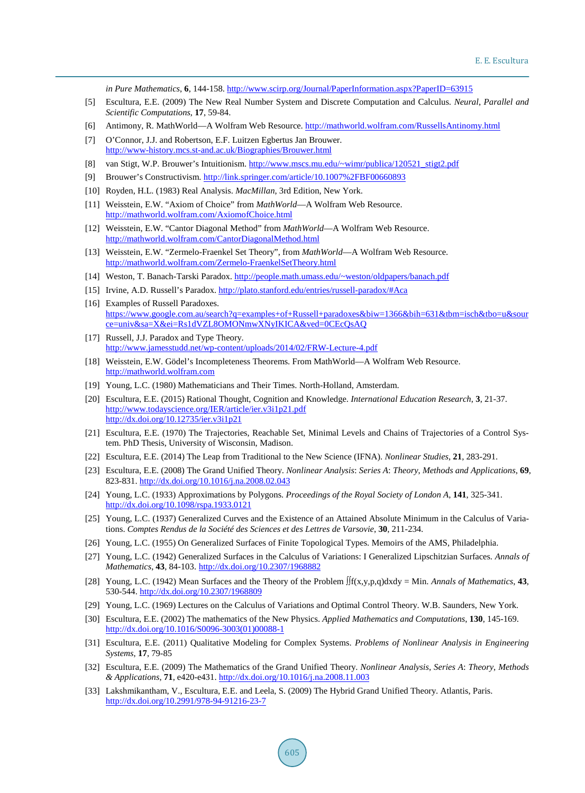*in Pure Mathematics*, **6**, 144-158. <http://www.scirp.org/Journal/PaperInformation.aspx?PaperID=63915>

- <span id="page-12-0"></span>[5] Escultura, E.E. (2009) The New Real Number System and Discrete Computation and Calculus. *Neural*, *Parallel and Scientific Computations*, **17**, 59-84.
- <span id="page-12-1"></span>[6] Antimony, R. MathWorld—A Wolfram Web Resource. <http://mathworld.wolfram.com/RussellsAntinomy.html>
- <span id="page-12-2"></span>[7] O'Connor, J.J. and Robertson, E.F. Luitzen Egbertus Jan Brouwer. <http://www-history.mcs.st-and.ac.uk/Biographies/Brouwer.html>
- <span id="page-12-3"></span>[8] van Stigt, W.P. Brouwer's Intuitionism. [http://www.mscs.mu.edu/~wimr/publica/120521\\_stigt2.pdf](http://www.mscs.mu.edu/%7Ewimr/publica/120521_stigt2.pdf)
- <span id="page-12-4"></span>[9] Brouwer's Constructivism. <http://link.springer.com/article/10.1007%2FBF00660893>
- <span id="page-12-5"></span>[10] Royden, H.L. (1983) Real Analysis. *MacMillan*, 3rd Edition, New York.
- <span id="page-12-6"></span>[11] Weisstein, E.W. "Axiom of Choice" from *MathWorld*—A Wolfram Web Resource. <http://mathworld.wolfram.com/AxiomofChoice.html>
- <span id="page-12-7"></span>[12] Weisstein, E.W. "Cantor Diagonal Method" from *MathWorld*—A Wolfram Web Resource. <http://mathworld.wolfram.com/CantorDiagonalMethod.html>
- <span id="page-12-8"></span>[13] Weisstein, E.W. "Zermelo-Fraenkel Set Theory", from *MathWorld*—A Wolfram Web Resource. <http://mathworld.wolfram.com/Zermelo-FraenkelSetTheory.html>
- <span id="page-12-9"></span>[14] Weston, T. Banach-Tarski Paradox. [http://people.math.umass.edu/~weston/oldpapers/banach.pdf](http://people.math.umass.edu/%7Eweston/oldpapers/banach.pdf)
- <span id="page-12-10"></span>[15] Irvine, A.D. Russell's Paradox. [http://plato.stanford.edu/entries/russell-paradox/#Aca](http://plato.stanford.edu/entries/russell-paradox/%23Aca)
- <span id="page-12-11"></span>[16] Examples of Russell Paradoxes. [https://www.google.com.au/search?q=examples+of+Russell+paradoxes&biw=1366&bih=631&tbm=isch&tbo=u&sour](https://www.google.com.au/search?q=examples+of+Russell+paradoxes&biw=1366&bih=631&tbm=isch&tbo=u&source=univ&sa=X&ei=Rs1dVZL8OMONmwXNyIKICA&ved=0CEcQsAQ) [ce=univ&sa=X&ei=Rs1dVZL8OMONmwXNyIKICA&ved=0CEcQsAQ](https://www.google.com.au/search?q=examples+of+Russell+paradoxes&biw=1366&bih=631&tbm=isch&tbo=u&source=univ&sa=X&ei=Rs1dVZL8OMONmwXNyIKICA&ved=0CEcQsAQ)
- <span id="page-12-12"></span>[17] Russell, J.J. Paradox and Type Theory. <http://www.jamesstudd.net/wp-content/uploads/2014/02/FRW-Lecture-4.pdf>
- <span id="page-12-13"></span>[18] Weisstein, E.W. Gödel's Incompleteness Theorems. From MathWorld—A Wolfram Web Resource. [http://mathworld.wolfram.com](http://mathworld.wolfram.com/)
- <span id="page-12-14"></span>[19] Young, L.C. (1980) Mathematicians and Their Times. North-Holland, Amsterdam.
- <span id="page-12-15"></span>[20] Escultura, E.E. (2015) Rational Thought, Cognition and Knowledge. *International Education Research*, **3**, 21-37. <http://www.todayscience.org/IER/article/ier.v3i1p21.pdf> <http://dx.doi.org/10.12735/ier.v3i1p21>
- <span id="page-12-16"></span>[21] Escultura, E.E. (1970) The Trajectories, Reachable Set, Minimal Levels and Chains of Trajectories of a Control System. PhD Thesis, University of Wisconsin, Madison.
- <span id="page-12-17"></span>[22] Escultura, E.E. (2014) The Leap from Traditional to the New Science (IFNA). *Nonlinear Studies*, **21**, 283-291.
- <span id="page-12-18"></span>[23] Escultura, E.E. (2008) The Grand Unified Theory. *Nonlinear Analysis*: *Series A*: *Theory*, *Methods and Applications*, **69**, 823-831. <http://dx.doi.org/10.1016/j.na.2008.02.043>
- <span id="page-12-19"></span>[24] Young, L.C. (1933) Approximations by Polygons. *Proceedings of the Royal Society of London A*, **141**, 325-341. <http://dx.doi.org/10.1098/rspa.1933.0121>
- [25] Young, L.C. (1937) Generalized Curves and the Existence of an Attained Absolute Minimum in the Calculus of Variations. *Comptes Rendus de la Société des Sciences et des Lettres de Varsovie*, **30**, 211-234.
- [26] Young, L.C. (1955) On Generalized Surfaces of Finite Topological Types. Memoirs of the AMS, Philadelphia.
- [27] Young, L.C. (1942) Generalized Surfaces in the Calculus of Variations: I Generalized Lipschitzian Surfaces. *Annals of Mathematics*, **43**, 84-103. <http://dx.doi.org/10.2307/1968882>
- <span id="page-12-20"></span>[28] Young, L.C. (1942) Mean Surfaces and the Theory of the Problem ∫∫f(x,y,p,q)dxdy = Min. *Annals of Mathematics*, **43**, 530-544. <http://dx.doi.org/10.2307/1968809>
- <span id="page-12-21"></span>[29] Young, L.C. (1969) Lectures on the Calculus of Variations and Optimal Control Theory. W.B. Saunders, New York.
- <span id="page-12-22"></span>[30] Escultura, E.E. (2002) The mathematics of the New Physics. *Applied Mathematics and Computations*, **130**, 145-169. [http://dx.doi.org/10.1016/S0096-3003\(01\)00088-1](http://dx.doi.org/10.1016/S0096-3003(01)00088-1)
- <span id="page-12-23"></span>[31] Escultura, E.E. (2011) Qualitative Modeling for Complex Systems. *Problems of Nonlinear Analysis in Engineering Systems*, **17**, 79-85
- [32] Escultura, E.E. (2009) The Mathematics of the Grand Unified Theory. *Nonlinear Analysis*, *Series A*: *Theory*, *Methods & Applications*, **71**, e420-e431. <http://dx.doi.org/10.1016/j.na.2008.11.003>
- <span id="page-12-24"></span>[33] Lakshmikantham, V., Escultura, E.E. and Leela, S. (2009) The Hybrid Grand Unified Theory. Atlantis, Paris. <http://dx.doi.org/10.2991/978-94-91216-23-7>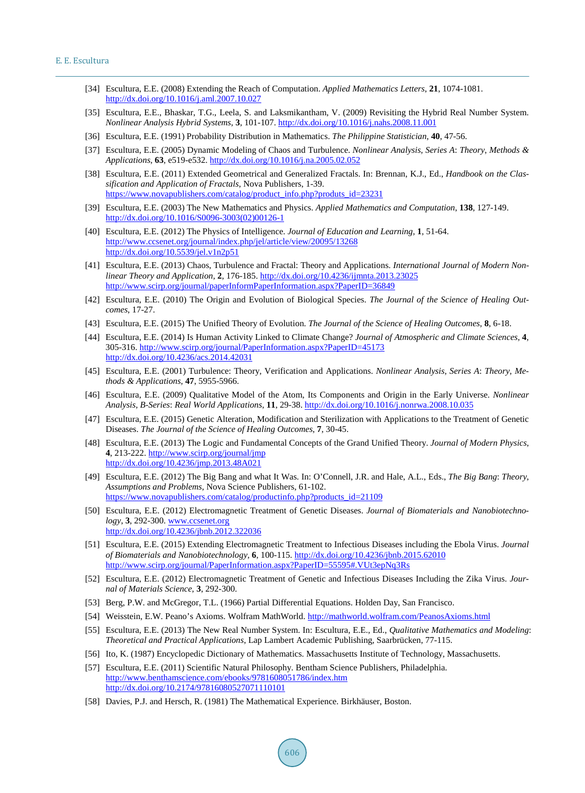- [34] Escultura, E.E. (2008) Extending the Reach of Computation. *Applied Mathematics Letters*, **21**, 1074-1081. <http://dx.doi.org/10.1016/j.aml.2007.10.027>
- [35] Escultura, E.E., Bhaskar, T.G., Leela, S. and Laksmikantham, V. (2009) Revisiting the Hybrid Real Number System. *Nonlinear Analysis Hybrid Systems*, **3**, 101-107. <http://dx.doi.org/10.1016/j.nahs.2008.11.001>
- [36] Escultura, E.E. (1991) Probability Distribution in Mathematics. *The Philippine Statistician*, **40**, 47-56.
- [37] Escultura, E.E. (2005) Dynamic Modeling of Chaos and Turbulence. *Nonlinear Analysis*, *Series A*: *Theory*, *Methods & Applications*, **63**, e519-e532. <http://dx.doi.org/10.1016/j.na.2005.02.052>
- <span id="page-13-14"></span>[38] Escultura, E.E. (2011) Extended Geometrical and Generalized Fractals. In: Brennan, K.J., Ed., *Handbook on the Classification and Application of Fractals*, Nova Publishers, 1-39. [https://www.novapublishers.com/catalog/product\\_info.php?produts\\_id=23231](https://www.novapublishers.com/catalog/product_info.php?produts_id=23231)
- <span id="page-13-0"></span>[39] Escultura, E.E. (2003) The New Mathematics and Physics. *Applied Mathematics and Computation*, **138**, 127-149. [http://dx.doi.org/10.1016/S0096-3003\(02\)00126-1](http://dx.doi.org/10.1016/S0096-3003(02)00126-1)
- <span id="page-13-3"></span>[40] Escultura, E.E. (2012) The Physics of Intelligence. *Journal of Education and Learning*, **1**, 51-64. <http://www.ccsenet.org/journal/index.php/jel/article/view/20095/13268> <http://dx.doi.org/10.5539/jel.v1n2p51>
- <span id="page-13-1"></span>[41] Escultura, E.E. (2013) Chaos, Turbulence and Fractal: Theory and Applications. *International Journal of Modern Nonlinear Theory and Application*, **2**, 176-185. <http://dx.doi.org/10.4236/ijmnta.2013.23025> <http://www.scirp.org/journal/paperInformPaperInformation.aspx?PaperID=36849>
- <span id="page-13-4"></span>[42] Escultura, E.E. (2010) The Origin and Evolution of Biological Species. *The Journal of the Science of Healing Outcomes*, 17-27.
- [43] Escultura, E.E. (2015) The Unified Theory of Evolution. *The Journal of the Science of Healing Outcomes*, **8**, 6-18.
- [44] Escultura, E.E. (2014) Is Human Activity Linked to Climate Change? *Journal of Atmospheric and Climate Sciences*, **4**, 305-316. <http://www.scirp.org/journal/PaperInformation.aspx?PaperID=45173> <http://dx.doi.org/10.4236/acs.2014.42031>
- [45] Escultura, E.E. (2001) Turbulence: Theory, Verification and Applications. *Nonlinear Analysis*, *Series A*: *Theory*, *Methods & Applications*, **47**, 5955-5966.
- [46] Escultura, E.E. (2009) Qualitative Model of the Atom, Its Components and Origin in the Early Universe. *Nonlinear Analysis*, *B*-*Series*: *Real World Applications*, **11**, 29-38. <http://dx.doi.org/10.1016/j.nonrwa.2008.10.035>
- [47] Escultura, E.E. (2015) Genetic Alteration, Modification and Sterilization with Applications to the Treatment of Genetic Diseases. *The Journal of the Science of Healing Outcomes*, **7**, 30-45.
- <span id="page-13-2"></span>[48] Escultura, E.E. (2013) The Logic and Fundamental Concepts of the Grand Unified Theory. *Journal of Modern Physics*, **4**, 213-222. <http://www.scirp.org/journal/jmp> <http://dx.doi.org/10.4236/jmp.2013.48A021>
- <span id="page-13-5"></span>[49] Escultura, E.E. (2012) The Big Bang and what It Was. In: O'Connell, J.R. and Hale, A.L., Eds., *The Big Bang*: *Theory*, *Assumptions and Problems*, Nova Science Publishers, 61-102. [https://www.novapublishers.com/catalog/productinfo.php?products\\_id=21109](https://www.novapublishers.com/catalog/productinfo.php?products_id=21109)
- <span id="page-13-6"></span>[50] Escultura, E.E. (2012) Electromagnetic Treatment of Genetic Diseases. *Journal of Biomaterials and Nanobiotechnology*, **3**, 292-300. [www.ccsenet.org](http://www.ccsenet.org/) <http://dx.doi.org/10.4236/jbnb.2012.322036>
- [51] Escultura, E.E. (2015) Extending Electromagnetic Treatment to Infectious Diseases including the Ebola Virus. *Journal of Biomaterials and Nanobiotechnology*, **6**, 100-115.<http://dx.doi.org/10.4236/jbnb.2015.62010> [http://www.scirp.org/journal/PaperInformation.aspx?PaperID=55595#.VUt3epNq3Rs](http://www.scirp.org/journal/PaperInformation.aspx?PaperID=55595%23.VUt3epNq3Rs)
- <span id="page-13-7"></span>[52] Escultura, E.E. (2012) Electromagnetic Treatment of Genetic and Infectious Diseases Including the Zika Virus. *Journal of Materials Science*, **3**, 292-300.
- <span id="page-13-8"></span>[53] Berg, P.W. and McGregor, T.L. (1966) Partial Differential Equations. Holden Day, San Francisco.
- <span id="page-13-9"></span>[54] Weisstein, E.W. Peano's Axioms. Wolfram MathWorld[. http://mathworld.wolfram.com/PeanosAxioms.html](http://mathworld.wolfram.com/PeanosAxioms.html)
- <span id="page-13-11"></span>[55] Escultura, E.E. (2013) The New Real Number System. In: Escultura, E.E., Ed., *Qualitative Mathematics and Modeling*: *Theoretical and Practical Applications*, Lap Lambert Academic Publishing, Saarbrücken, 77-115.
- <span id="page-13-10"></span>[56] Ito, K. (1987) Encyclopedic Dictionary of Mathematics. Massachusetts Institute of Technology, Massachusetts.
- <span id="page-13-12"></span>[57] Escultura, E.E. (2011) Scientific Natural Philosophy. Bentham Science Publishers, Philadelphia. <http://www.benthamscience.com/ebooks/9781608051786/index.htm> <http://dx.doi.org/10.2174/97816080527071110101>
- <span id="page-13-13"></span>[58] Davies, P.J. and Hersch, R. (1981) The Mathematical Experience. Birkhäuser, Boston.